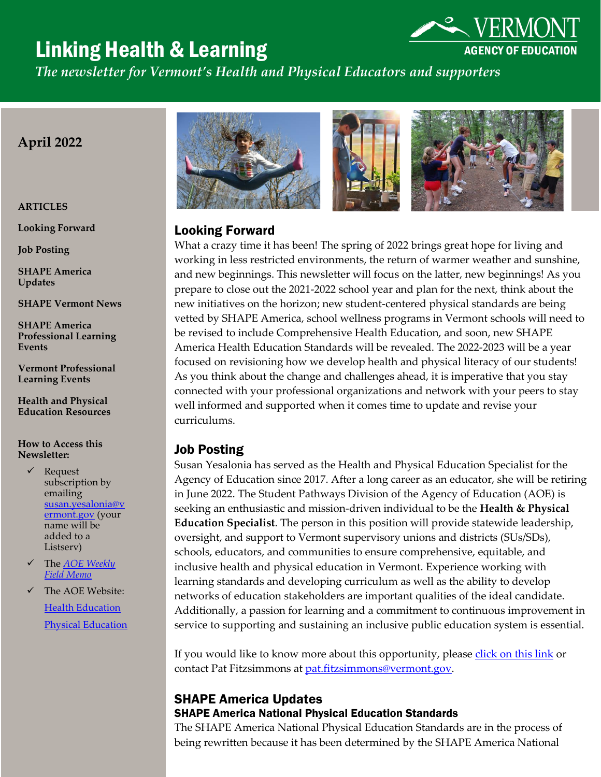# Linking Health & Learning



*The newsletter for Vermont's Health and Physical Educators and supporters*

## **April 2022**

#### **ARTICLES**

**Looking Forward**

**Job Posting**

**SHAPE America Updates**

**SHAPE Vermont News**

**SHAPE America Professional Learning Events**

**Vermont Professional Learning Events**

**Health and Physical Education Resources**

**How to Access this Newsletter:**

- ✓ Request subscription by emailing [susan.yesalonia@v](mailto:susan.yesalonia@vermont.gov) [ermont.gov](mailto:susan.yesalonia@vermont.gov) (your name will be added to a Listserv)
- The **AOE** Weekly *[Field Memo](https://education.vermont.gov/blog)*
- The AOE Website: [Health Education](https://education.vermont.gov/student-learning/content-areas/health-education) [Physical Education](https://education.vermont.gov/student-learning/content-areas/physical-education)



## Looking Forward

What a crazy time it has been! The spring of 2022 brings great hope for living and working in less restricted environments, the return of warmer weather and sunshine, and new beginnings. This newsletter will focus on the latter, new beginnings! As you prepare to close out the 2021-2022 school year and plan for the next, think about the new initiatives on the horizon; new student-centered physical standards are being vetted by SHAPE America, school wellness programs in Vermont schools will need to be revised to include Comprehensive Health Education, and soon, new SHAPE America Health Education Standards will be revealed. The 2022-2023 will be a year focused on revisioning how we develop health and physical literacy of our students! As you think about the change and challenges ahead, it is imperative that you stay connected with your professional organizations and network with your peers to stay well informed and supported when it comes time to update and revise your curriculums.

## Job Posting

Susan Yesalonia has served as the Health and Physical Education Specialist for the Agency of Education since 2017. After a long career as an educator, she will be retiring in June 2022. The Student Pathways Division of the Agency of Education (AOE) is seeking an enthusiastic and mission-driven individual to be the **Health & Physical Education Specialist**. The person in this position will provide statewide leadership, oversight, and support to Vermont supervisory unions and districts (SUs/SDs), schools, educators, and communities to ensure comprehensive, equitable, and inclusive health and physical education in Vermont. Experience working with learning standards and developing curriculum as well as the ability to develop networks of education stakeholders are important qualities of the ideal candidate. Additionally, a passion for learning and a commitment to continuous improvement in service to supporting and sustaining an inclusive public education system is essential.

If you would like to know more about this opportunity, please [click on this link](https://careers.vermont.gov/job-invite/31886/) or contact Pat Fitzsimmons at [pat.fitzsimmons@vermont.gov.](mailto:pat.fitzsimmons@vermont.gov)

## SHAPE America Updates SHAPE America National Physical Education Standards

The SHAPE America National Physical Education Standards are in the process of being rewritten because it has been determined by the SHAPE America National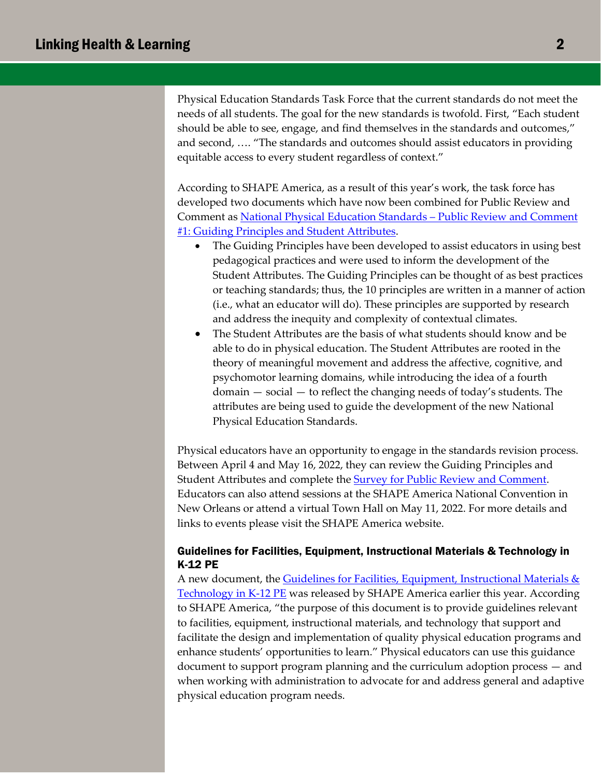Physical Education Standards Task Force that the current standards do not meet the needs of all students. The goal for the new standards is twofold. First, "Each student should be able to see, engage, and find themselves in the standards and outcomes," and second, …. "The standards and outcomes should assist educators in providing equitable access to every student regardless of context."

According to SHAPE America, as a result of this year's work, the task force has developed two documents which have now been combined for Public Review and Comment as [National Physical Education Standards](https://issuu.com/shapeamerica/docs/shape_america_national_pe_standards_public_review_?fr=sMTFkNDQ4MTQxMjc) – Public Review and Comment #1: [Guiding Principles and Student Attributes.](https://issuu.com/shapeamerica/docs/shape_america_national_pe_standards_public_review_?fr=sMTFkNDQ4MTQxMjc)

- The Guiding Principles have been developed to assist educators in using best pedagogical practices and were used to inform the development of the Student Attributes. The Guiding Principles can be thought of as best practices or teaching standards; thus, the 10 principles are written in a manner of action (i.e., what an educator will do). These principles are supported by research and address the inequity and complexity of contextual climates.
- The Student Attributes are the basis of what students should know and be able to do in physical education. The Student Attributes are rooted in the theory of meaningful movement and address the affective, cognitive, and psychomotor learning domains, while introducing the idea of a fourth domain — social — to reflect the changing needs of today's students. The attributes are being used to guide the development of the new National Physical Education Standards.

Physical educators have an opportunity to engage in the standards revision process. Between April 4 and May 16, 2022, they can review the Guiding Principles and Student Attributes and complete the [Survey for Public Review and Comment.](https://www.surveymonkey.com/r/NationalPEStandards_1) Educators can also attend sessions at the SHAPE America National Convention in New Orleans or attend a virtual Town Hall on May 11, 2022. For more details and links to events please visit the SHAPE America website.

#### Guidelines for Facilities, Equipment, Instructional Materials & Technology in K-12 PE

A new document, the [Guidelines for Facilities, Equipment, Instructional Materials &](https://issuu.com/shapeamerica/docs/shape_america_guidelines_for_facilities_equipment_?fr=sNDE4ZTQ3NDU1MTM)  [Technology in K-12 PE](https://issuu.com/shapeamerica/docs/shape_america_guidelines_for_facilities_equipment_?fr=sNDE4ZTQ3NDU1MTM) was released by SHAPE America earlier this year. According to SHAPE America, "the purpose of this document is to provide guidelines relevant to facilities, equipment, instructional materials, and technology that support and facilitate the design and implementation of quality physical education programs and enhance students' opportunities to learn." Physical educators can use this guidance document to support program planning and the curriculum adoption process — and when working with administration to advocate for and address general and adaptive physical education program needs.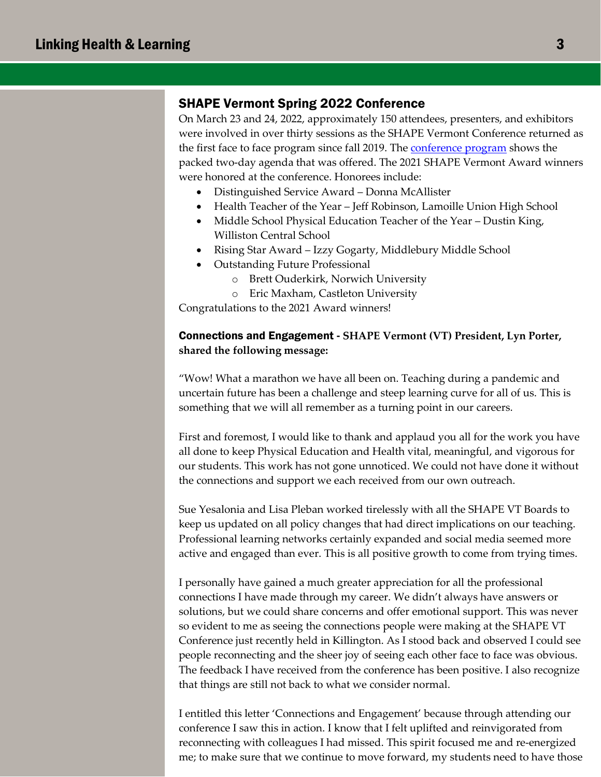### SHAPE Vermont Spring 2022 Conference

On March 23 and 24, 2022, approximately 150 attendees, presenters, and exhibitors were involved in over thirty sessions as the SHAPE Vermont Conference returned as the first face to face program since fall 2019. The [conference program](https://www.shapevt.org/documents/2022%20Program%20FINAL%20.docx.pdf) shows the packed two-day agenda that was offered. The 2021 SHAPE Vermont Award winners were honored at the conference. Honorees include:

- Distinguished Service Award Donna McAllister
- Health Teacher of the Year Jeff Robinson, Lamoille Union High School
- Middle School Physical Education Teacher of the Year Dustin King, Williston Central School
- Rising Star Award Izzy Gogarty, Middlebury Middle School
- Outstanding Future Professional
	- o Brett Ouderkirk, Norwich University
	- o Eric Maxham, Castleton University

Congratulations to the 2021 Award winners!

#### Connections and Engagement - **SHAPE Vermont (VT) President, Lyn Porter, shared the following message:**

"Wow! What a marathon we have all been on. Teaching during a pandemic and uncertain future has been a challenge and steep learning curve for all of us. This is something that we will all remember as a turning point in our careers.

First and foremost, I would like to thank and applaud you all for the work you have all done to keep Physical Education and Health vital, meaningful, and vigorous for our students. This work has not gone unnoticed. We could not have done it without the connections and support we each received from our own outreach.

Sue Yesalonia and Lisa Pleban worked tirelessly with all the SHAPE VT Boards to keep us updated on all policy changes that had direct implications on our teaching. Professional learning networks certainly expanded and social media seemed more active and engaged than ever. This is all positive growth to come from trying times.

I personally have gained a much greater appreciation for all the professional connections I have made through my career. We didn't always have answers or solutions, but we could share concerns and offer emotional support. This was never so evident to me as seeing the connections people were making at the SHAPE VT Conference just recently held in Killington. As I stood back and observed I could see people reconnecting and the sheer joy of seeing each other face to face was obvious. The feedback I have received from the conference has been positive. I also recognize that things are still not back to what we consider normal.

I entitled this letter 'Connections and Engagement' because through attending our conference I saw this in action. I know that I felt uplifted and reinvigorated from reconnecting with colleagues I had missed. This spirit focused me and re-energized me; to make sure that we continue to move forward, my students need to have those